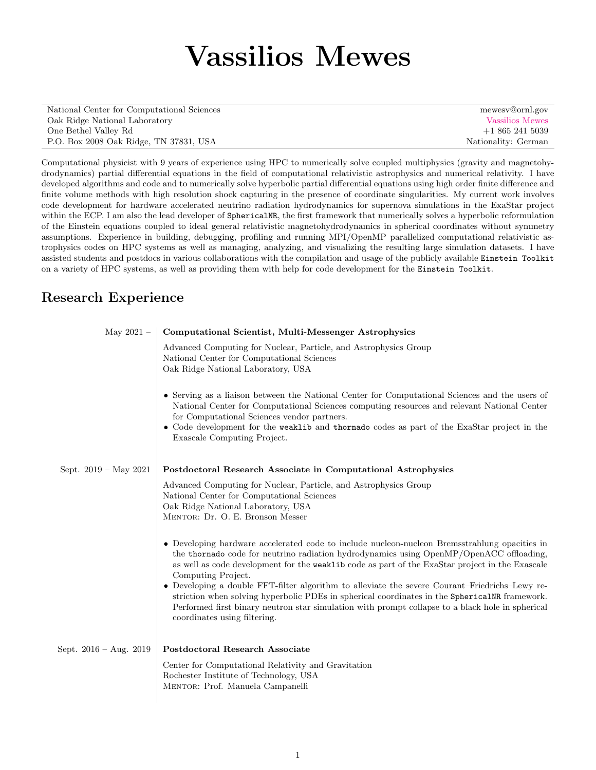# Vassilios Mewes

| National Center for Computational Sciences | mewesy@ornl.gov     |
|--------------------------------------------|---------------------|
| Oak Ridge National Laboratory              | Vassilios Mewes     |
| One Bethel Valley Rd                       | $+18652415039$      |
| P.O. Box 2008 Oak Ridge, TN 37831, USA     | Nationality: German |

Computational physicist with 9 years of experience using HPC to numerically solve coupled multiphysics (gravity and magnetohydrodynamics) partial differential equations in the field of computational relativistic astrophysics and numerical relativity. I have developed algorithms and code and to numerically solve hyperbolic partial differential equations using high order finite difference and finite volume methods with high resolution shock capturing in the presence of coordinate singularities. My current work involves code development for hardware accelerated neutrino radiation hydrodynamics for supernova simulations in the ExaStar project within the ECP. I am also the lead developer of SphericalNR, the first framework that numerically solves a hyperbolic reformulation of the Einstein equations coupled to ideal general relativistic magnetohydrodynamics in spherical coordinates without symmetry assumptions. Experience in building, debugging, profiling and running MPI/OpenMP parallelized computational relativistic astrophysics codes on HPC systems as well as managing, analyzing, and visualizing the resulting large simulation datasets. I have assisted students and postdocs in various collaborations with the compilation and usage of the publicly available Einstein Toolkit on a variety of HPC systems, as well as providing them with help for code development for the Einstein Toolkit.

#### Research Experience

| May 2021 $-$             | Computational Scientist, Multi-Messenger Astrophysics                                                                                                                                                                                                                                                                                                                                                                                                                                                                                                                                                                                                           |
|--------------------------|-----------------------------------------------------------------------------------------------------------------------------------------------------------------------------------------------------------------------------------------------------------------------------------------------------------------------------------------------------------------------------------------------------------------------------------------------------------------------------------------------------------------------------------------------------------------------------------------------------------------------------------------------------------------|
|                          | Advanced Computing for Nuclear, Particle, and Astrophysics Group<br>National Center for Computational Sciences<br>Oak Ridge National Laboratory, USA                                                                                                                                                                                                                                                                                                                                                                                                                                                                                                            |
|                          | • Serving as a liaison between the National Center for Computational Sciences and the users of<br>National Center for Computational Sciences computing resources and relevant National Center<br>for Computational Sciences vendor partners.<br>• Code development for the weaklib and thornado codes as part of the ExaStar project in the<br>Exascale Computing Project.                                                                                                                                                                                                                                                                                      |
| Sept. $2019 - May 2021$  | Postdoctoral Research Associate in Computational Astrophysics                                                                                                                                                                                                                                                                                                                                                                                                                                                                                                                                                                                                   |
|                          | Advanced Computing for Nuclear, Particle, and Astrophysics Group<br>National Center for Computational Sciences<br>Oak Ridge National Laboratory, USA<br>MENTOR: Dr. O. E. Bronson Messer                                                                                                                                                                                                                                                                                                                                                                                                                                                                        |
|                          | • Developing hardware accelerated code to include nucleon-nucleon Bremsstrahlung opacities in<br>the thornado code for neutrino radiation hydrodynamics using OpenMP/OpenACC offloading,<br>as well as code development for the <b>weaklib</b> code as part of the ExaStar project in the Exascale<br>Computing Project.<br>• Developing a double FFT-filter algorithm to alleviate the severe Courant-Friedrichs-Lewy re-<br>striction when solving hyperbolic PDEs in spherical coordinates in the SphericalNR framework.<br>Performed first binary neutron star simulation with prompt collapse to a black hole in spherical<br>coordinates using filtering. |
| Sept. $2016 - Aug. 2019$ | Postdoctoral Research Associate                                                                                                                                                                                                                                                                                                                                                                                                                                                                                                                                                                                                                                 |
|                          | Center for Computational Relativity and Gravitation<br>Rochester Institute of Technology, USA<br>MENTOR: Prof. Manuela Campanelli                                                                                                                                                                                                                                                                                                                                                                                                                                                                                                                               |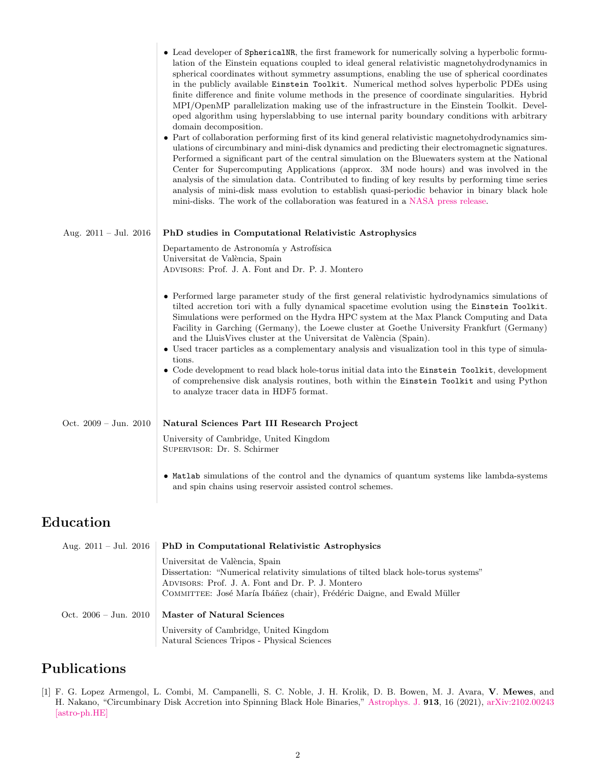|                                 | • Lead developer of SphericalNR, the first framework for numerically solving a hyperbolic formu-<br>lation of the Einstein equations coupled to ideal general relativistic magnetohydrodynamics in<br>spherical coordinates without symmetry assumptions, enabling the use of spherical coordinates<br>in the publicly available Einstein Toolkit. Numerical method solves hyperbolic PDEs using<br>finite difference and finite volume methods in the presence of coordinate singularities. Hybrid<br>MPI/OpenMP parallelization making use of the infrastructure in the Einstein Toolkit. Devel-<br>oped algorithm using hyperslabbing to use internal parity boundary conditions with arbitrary<br>domain decomposition.<br>• Part of collaboration performing first of its kind general relativistic magnetohydrodynamics sim-<br>ulations of circumbinary and mini-disk dynamics and predicting their electromagnetic signatures.<br>Performed a significant part of the central simulation on the Bluewaters system at the National<br>Center for Supercomputing Applications (approx. 3M node hours) and was involved in the<br>analysis of the simulation data. Contributed to finding of key results by performing time series<br>analysis of mini-disk mass evolution to establish quasi-periodic behavior in binary black hole<br>mini-disks. The work of the collaboration was featured in a NASA press release. |
|---------------------------------|------------------------------------------------------------------------------------------------------------------------------------------------------------------------------------------------------------------------------------------------------------------------------------------------------------------------------------------------------------------------------------------------------------------------------------------------------------------------------------------------------------------------------------------------------------------------------------------------------------------------------------------------------------------------------------------------------------------------------------------------------------------------------------------------------------------------------------------------------------------------------------------------------------------------------------------------------------------------------------------------------------------------------------------------------------------------------------------------------------------------------------------------------------------------------------------------------------------------------------------------------------------------------------------------------------------------------------------------------------------------------------------------------------------------------|
| Aug. $2011 - \text{Jul. } 2016$ | PhD studies in Computational Relativistic Astrophysics                                                                                                                                                                                                                                                                                                                                                                                                                                                                                                                                                                                                                                                                                                                                                                                                                                                                                                                                                                                                                                                                                                                                                                                                                                                                                                                                                                       |
|                                 | Departamento de Astronomía y Astrofísica<br>Universitat de València, Spain<br>ADVISORS: Prof. J. A. Font and Dr. P. J. Montero                                                                                                                                                                                                                                                                                                                                                                                                                                                                                                                                                                                                                                                                                                                                                                                                                                                                                                                                                                                                                                                                                                                                                                                                                                                                                               |
|                                 | • Performed large parameter study of the first general relativistic hydrodynamics simulations of<br>tilted accretion tori with a fully dynamical spacetime evolution using the Einstein Toolkit.<br>Simulations were performed on the Hydra HPC system at the Max Planck Computing and Data<br>Facility in Garching (Germany), the Loewe cluster at Goethe University Frankfurt (Germany)<br>and the LluisVives cluster at the Universitat de València (Spain).<br>• Used tracer particles as a complementary analysis and visualization tool in this type of simula-<br>tions.<br>• Code development to read black hole-torus initial data into the Einstein Toolkit, development<br>of comprehensive disk analysis routines, both within the Einstein Toolkit and using Python<br>to analyze tracer data in HDF5 format.                                                                                                                                                                                                                                                                                                                                                                                                                                                                                                                                                                                                   |
| Oct. $2009 - \text{Jun. } 2010$ | Natural Sciences Part III Research Project<br>University of Cambridge, United Kingdom<br>SUPERVISOR: Dr. S. Schirmer                                                                                                                                                                                                                                                                                                                                                                                                                                                                                                                                                                                                                                                                                                                                                                                                                                                                                                                                                                                                                                                                                                                                                                                                                                                                                                         |
|                                 | • Matlab simulations of the control and the dynamics of quantum systems like lambda-systems<br>and spin chains using reservoir assisted control schemes.                                                                                                                                                                                                                                                                                                                                                                                                                                                                                                                                                                                                                                                                                                                                                                                                                                                                                                                                                                                                                                                                                                                                                                                                                                                                     |

## Education

 $\mathbb{I}$ 

| Aug. $2011 - \text{Jul. } 2016$ | <b>PhD</b> in Computational Relativistic Astrophysics                                                                                                                                                                                                |
|---------------------------------|------------------------------------------------------------------------------------------------------------------------------------------------------------------------------------------------------------------------------------------------------|
|                                 | Universitat de València, Spain<br>Dissertation: "Numerical relativity simulations of tilted black hole-torus systems"<br>ADVISORS: Prof. J. A. Font and Dr. P. J. Montero<br>COMMITTEE: José María Ibáñez (chair), Frédéric Daigne, and Ewald Müller |
| Oct. $2006 - \text{Jun. } 2010$ | <b>Master of Natural Sciences</b>                                                                                                                                                                                                                    |
|                                 | University of Cambridge, United Kingdom<br>Natural Sciences Tripos - Physical Sciences                                                                                                                                                               |

## Publications

[1] F. G. Lopez Armengol, L. Combi, M. Campanelli, S. C. Noble, J. H. Krolik, D. B. Bowen, M. J. Avara, V. Mewes, and H. Nakano, "Circumbinary Disk Accretion into Spinning Black Hole Binaries," [Astrophys. J.](http://dx.doi.org/10.3847/1538-4357/abf0af) 913, 16 (2021), [arXiv:2102.00243](http://arxiv.org/abs/2102.00243) [\[astro-ph.HE\]](http://arxiv.org/abs/2102.00243)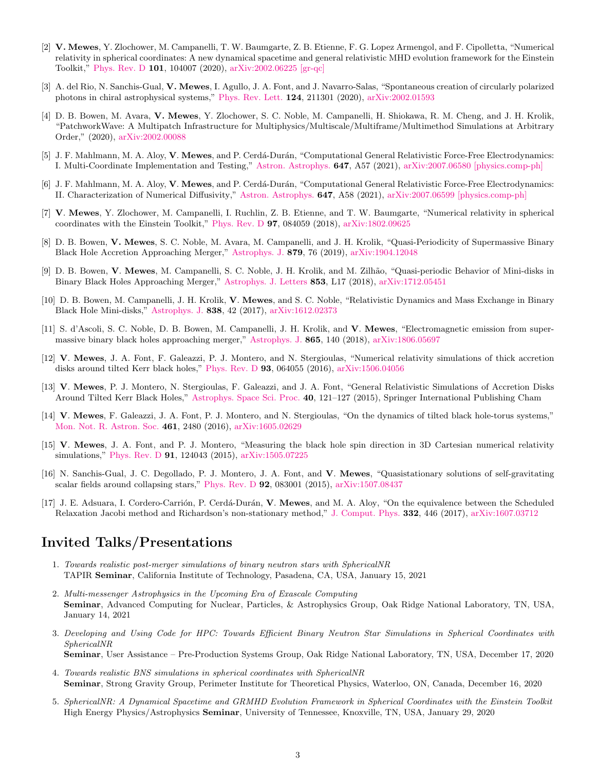- [2] V. Mewes, Y. Zlochower, M. Campanelli, T. W. Baumgarte, Z. B. Etienne, F. G. Lopez Armengol, and F. Cipolletta, "Numerical relativity in spherical coordinates: A new dynamical spacetime and general relativistic MHD evolution framework for the Einstein Toolkit," [Phys. Rev. D](http://dx.doi.org/10.1103/PhysRevD.101.104007) 101, 104007 (2020), [arXiv:2002.06225 \[gr-qc\]](http://arxiv.org/abs/2002.06225)
- [3] A. del Rio, N. Sanchis-Gual, V. Mewes, I. Agullo, J. A. Font, and J. Navarro-Salas, "Spontaneous creation of circularly polarized photons in chiral astrophysical systems," [Phys. Rev. Lett.](http://dx.doi.org/10.1103/PhysRevLett.124.211301) 124, 211301 (2020), [arXiv:2002.01593](http://arxiv.org/abs/2002.01593)
- [4] D. B. Bowen, M. Avara, V. Mewes, Y. Zlochower, S. C. Noble, M. Campanelli, H. Shiokawa, R. M. Cheng, and J. H. Krolik, "PatchworkWave: A Multipatch Infrastructure for Multiphysics/Multiscale/Multiframe/Multimethod Simulations at Arbitrary Order," (2020), [arXiv:2002.00088](http://arxiv.org/abs/2002.00088)
- [5] J. F. Mahlmann, M. A. Aloy, V. Mewes, and P. Cerdá-Durán, "Computational General Relativistic Force-Free Electrodynamics: I. Multi-Coordinate Implementation and Testing," [Astron. Astrophys.](http://dx.doi.org/10.1051/0004-6361/202038907) 647, A57 (2021), [arXiv:2007.06580 \[physics.comp-ph\]](http://arxiv.org/abs/2007.06580)
- [6] J. F. Mahlmann, M. A. Aloy, V. Mewes, and P. Cerdá-Durán, "Computational General Relativistic Force-Free Electrodynamics: II. Characterization of Numerical Diffusivity," [Astron. Astrophys.](http://dx.doi.org/10.1051/0004-6361/202038908) 647, A58 (2021), [arXiv:2007.06599 \[physics.comp-ph\]](http://arxiv.org/abs/2007.06599)
- [7] V. Mewes, Y. Zlochower, M. Campanelli, I. Ruchlin, Z. B. Etienne, and T. W. Baumgarte, "Numerical relativity in spherical coordinates with the Einstein Toolkit," [Phys. Rev. D](http://dx.doi.org/10.1103/PhysRevD.97.084059) 97, 084059 (2018), [arXiv:1802.09625](http://arxiv.org/abs/1802.09625)
- [8] D. B. Bowen, V. Mewes, S. C. Noble, M. Avara, M. Campanelli, and J. H. Krolik, "Quasi-Periodicity of Supermassive Binary Black Hole Accretion Approaching Merger," [Astrophys. J.](http://dx.doi.org/10.3847/1538-4357/ab2453) 879, 76 (2019), [arXiv:1904.12048](http://arxiv.org/abs/1904.12048)
- [9] D. B. Bowen, V. Mewes, M. Campanelli, S. C. Noble, J. H. Krolik, and M. Zilhão, "Quasi-periodic Behavior of Mini-disks in Binary Black Holes Approaching Merger," [Astrophys. J. Letters](http://dx.doi.org/10.3847/2041-8213/aaa756) 853, L17 (2018), [arXiv:1712.05451](http://arxiv.org/abs/1712.05451)
- [10] D. B. Bowen, M. Campanelli, J. H. Krolik, V. Mewes, and S. C. Noble, "Relativistic Dynamics and Mass Exchange in Binary Black Hole Mini-disks," [Astrophys. J.](http://dx.doi.org/10.3847/1538-4357/aa63f3) 838, 42 (2017), [arXiv:1612.02373](http://arxiv.org/abs/1612.02373)
- [11] S. d'Ascoli, S. C. Noble, D. B. Bowen, M. Campanelli, J. H. Krolik, and V. Mewes, "Electromagnetic emission from supermassive binary black holes approaching merger," [Astrophys. J.](http://dx.doi.org/10.3847/1538-4357/aad8b4) 865, 140 (2018), [arXiv:1806.05697](http://arxiv.org/abs/1806.05697)
- [12] V. Mewes, J. A. Font, F. Galeazzi, P. J. Montero, and N. Stergioulas, "Numerical relativity simulations of thick accretion disks around tilted Kerr black holes," [Phys. Rev. D](http://dx.doi.org/10.1103/PhysRevD.93.064055) **93**, 064055 (2016), [arXiv:1506.04056](http://arxiv.org/abs/1506.04056)
- [13] V. Mewes, P. J. Montero, N. Stergioulas, F. Galeazzi, and J. A. Font, "General Relativistic Simulations of Accretion Disks Around Tilted Kerr Black Holes," [Astrophys. Space Sci. Proc.](http://dx.doi.org/10.1007/978-3-319-10488-1_10) 40, 121–127 (2015), Springer International Publishing Cham
- [14] V. Mewes, F. Galeazzi, J. A. Font, P. J. Montero, and N. Stergioulas, "On the dynamics of tilted black hole-torus systems," [Mon. Not. R. Astron. Soc.](http://dx.doi.org/10.1093/mnras/stw1490) 461, 2480 (2016), [arXiv:1605.02629](http://arxiv.org/abs/1605.02629)
- [15] V. Mewes, J. A. Font, and P. J. Montero, "Measuring the black hole spin direction in 3D Cartesian numerical relativity simulations," [Phys. Rev. D](http://dx.doi.org/10.1103/PhysRevD.91.124043) 91, 124043 (2015), [arXiv:1505.07225](http://arxiv.org/abs/1505.07225)
- [16] N. Sanchis-Gual, J. C. Degollado, P. J. Montero, J. A. Font, and V. Mewes, "Quasistationary solutions of self-gravitating scalar fields around collapsing stars," [Phys. Rev. D](http://dx.doi.org/10.1103/PhysRevD.92.083001)  $92$ , 083001 (2015), [arXiv:1507.08437](http://arxiv.org/abs/1507.08437)
- [17] J. E. Adsuara, I. Cordero-Carrión, P. Cerdá-Durán, V. Mewes, and M. A. Aloy, "On the equivalence between the Scheduled Relaxation Jacobi method and Richardson's non-stationary method," [J. Comput. Phys.](http://dx.doi.org/10.1016/j.jcp.2016.12.020) 332, 446 (2017), [arXiv:1607.03712](http://arxiv.org/abs/1607.03712)

#### Invited Talks/Presentations

- 1. Towards realistic post-merger simulations of binary neutron stars with SphericalNR TAPIR Seminar, California Institute of Technology, Pasadena, CA, USA, January 15, 2021
- 2. Multi-messenger Astrophysics in the Upcoming Era of Exascale Computing Seminar, Advanced Computing for Nuclear, Particles, & Astrophysics Group, Oak Ridge National Laboratory, TN, USA, January 14, 2021
- 3. Developing and Using Code for HPC: Towards Efficient Binary Neutron Star Simulations in Spherical Coordinates with SphericalNR Seminar, User Assistance – Pre-Production Systems Group, Oak Ridge National Laboratory, TN, USA, December 17, 2020
- 4. Towards realistic BNS simulations in spherical coordinates with SphericalNR Seminar, Strong Gravity Group, Perimeter Institute for Theoretical Physics, Waterloo, ON, Canada, December 16, 2020
- 5. SphericalNR: A Dynamical Spacetime and GRMHD Evolution Framework in Spherical Coordinates with the Einstein Toolkit High Energy Physics/Astrophysics Seminar, University of Tennessee, Knoxville, TN, USA, January 29, 2020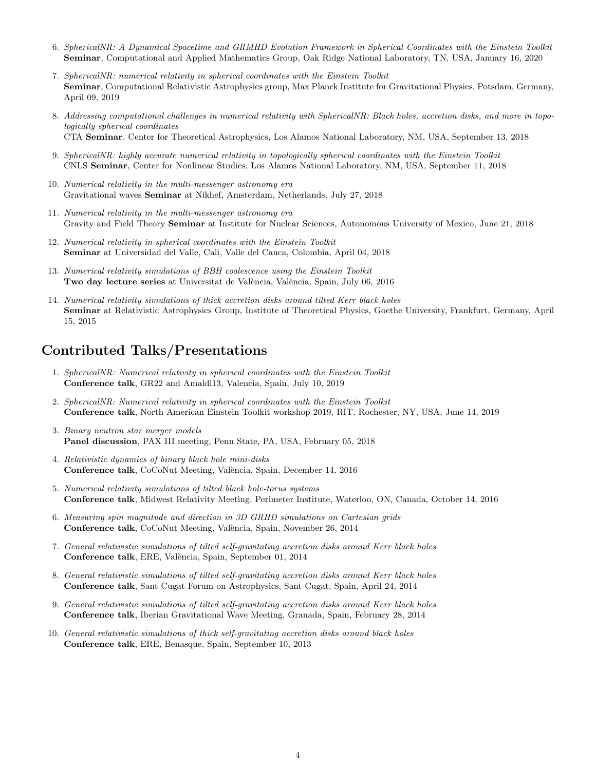- 6. SphericalNR: A Dynamical Spacetime and GRMHD Evolution Framework in Spherical Coordinates with the Einstein Toolkit Seminar, Computational and Applied Mathematics Group, Oak Ridge National Laboratory, TN, USA, January 16, 2020
- 7. SphericalNR: numerical relativity in spherical coordinates with the Einstein Toolkit Seminar, Computational Relativistic Astrophysics group, Max Planck Institute for Gravitational Physics, Potsdam, Germany, April 09, 2019
- 8. Addressing computational challenges in numerical relativity with SphericalNR: Black holes, accretion disks, and more in topologically spherical coordinates CTA Seminar, Center for Theoretical Astrophysics, Los Alamos National Laboratory, NM, USA, September 13, 2018
- 9. SphericalNR: highly accurate numerical relativity in topologically spherical coordinates with the Einstein Toolkit CNLS Seminar, Center for Nonlinear Studies, Los Alamos National Laboratory, NM, USA, September 11, 2018
- 10. Numerical relativity in the multi-messenger astronomy era Gravitational waves Seminar at Nikhef, Amsterdam, Netherlands, July 27, 2018
- 11. Numerical relativity in the multi-messenger astronomy era Gravity and Field Theory Seminar at Institute for Nuclear Sciences, Autonomous University of Mexico, June 21, 2018
- 12. Numerical relativity in spherical coordinates with the Einstein Toolkit Seminar at Universidad del Valle, Cali, Valle del Cauca, Colombia, April 04, 2018
- 13. Numerical relativity simulations of BBH coalescence using the Einstein Toolkit Two day lecture series at Universitat de València, València, Spain, July 06, 2016
- 14. Numerical relativity simulations of thick accretion disks around tilted Kerr black holes Seminar at Relativistic Astrophysics Group, Institute of Theoretical Physics, Goethe University, Frankfurt, Germany, April 15, 2015

#### Contributed Talks/Presentations

- 1. SphericalNR: Numerical relativity in spherical coordinates with the Einstein Toolkit Conference talk, GR22 and Amaldi13, Valencia, Spain, July 10, 2019
- 2. SphericalNR: Numerical relativity in spherical coordinates with the Einstein Toolkit Conference talk, North American Einstein Toolkit workshop 2019, RIT, Rochester, NY, USA, June 14, 2019
- 3. Binary neutron star merger models Panel discussion, PAX III meeting, Penn State, PA, USA, February 05, 2018
- 4. Relativistic dynamics of binary black hole mini-disks Conference talk, CoCoNut Meeting, València, Spain, December 14, 2016
- 5. Numerical relativity simulations of tilted black hole-torus systems Conference talk, Midwest Relativity Meeting, Perimeter Institute, Waterloo, ON, Canada, October 14, 2016
- 6. Measuring spin magnitude and direction in 3D GRHD simulations on Cartesian grids Conference talk, CoCoNut Meeting, València, Spain, November 26, 2014
- 7. General relativistic simulations of tilted self-gravitating accretion disks around Kerr black holes Conference talk, ERE, València, Spain, September 01, 2014
- 8. General relativistic simulations of tilted self-gravitating accretion disks around Kerr black holes Conference talk, Sant Cugat Forum on Astrophysics, Sant Cugat, Spain, April 24, 2014
- 9. General relativistic simulations of tilted self-gravitating accretion disks around Kerr black holes Conference talk, Iberian Gravitational Wave Meeting, Granada, Spain, February 28, 2014
- 10. General relativistic simulations of thick self-gravitating accretion disks around black holes Conference talk, ERE, Benasque, Spain, September 10, 2013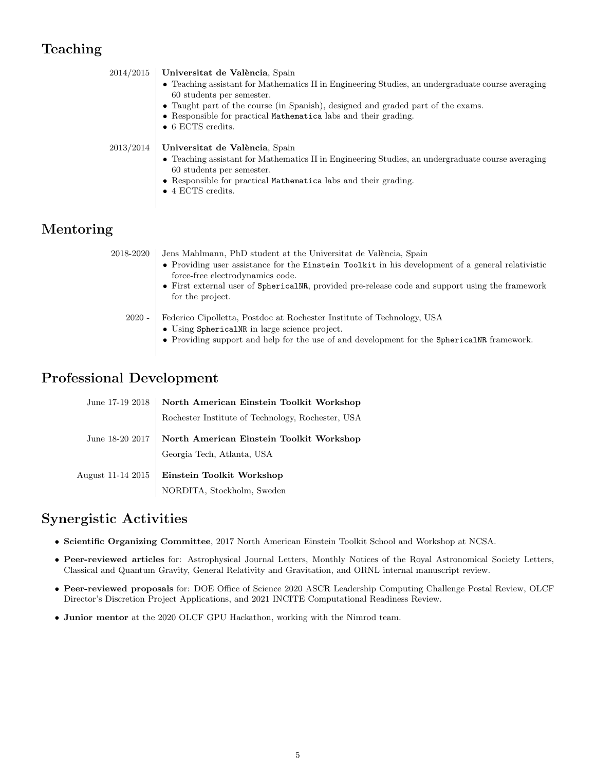### Teaching

| 2014/2015 | Universitat de València, Spain<br>• Teaching assistant for Mathematics II in Engineering Studies, an undergraduate course averaging<br>60 students per semester.<br>• Taught part of the course (in Spanish), designed and graded part of the exams.                                                                                                             |
|-----------|------------------------------------------------------------------------------------------------------------------------------------------------------------------------------------------------------------------------------------------------------------------------------------------------------------------------------------------------------------------|
| 2013/2014 | • Responsible for practical Mathematica labs and their grading.<br>$\bullet$ 6 ECTS credits.<br>Universitat de València, Spain<br>• Teaching assistant for Mathematics II in Engineering Studies, an undergraduate course averaging<br>60 students per semester.<br>• Responsible for practical Mathematica labs and their grading.<br>$\bullet$ 4 ECTS credits. |

#### Mentoring

| 2018-2020 | Jens Mahlmann, PhD student at the Universitat de València, Spain                                                                                                                                                       |
|-----------|------------------------------------------------------------------------------------------------------------------------------------------------------------------------------------------------------------------------|
|           | • Providing user assistance for the Einstein Toolkit in his development of a general relativistic<br>force-free electrodynamics code.                                                                                  |
|           | • First external user of SphericalNR, provided pre-release code and support using the framework<br>for the project.                                                                                                    |
| $2020 -$  | Federico Cipolletta, Postdoc at Rochester Institute of Technology, USA<br>• Using SphericalNR in large science project.<br>• Providing support and help for the use of and development for the Spherical NR framework. |

#### Professional Development

| June 17-19 2018   | North American Einstein Toolkit Workshop          |
|-------------------|---------------------------------------------------|
|                   | Rochester Institute of Technology, Rochester, USA |
| June 18-20 2017   | North American Einstein Toolkit Workshop          |
|                   | Georgia Tech, Atlanta, USA                        |
| August 11-14 2015 | Einstein Toolkit Workshop                         |
|                   | NORDITA, Stockholm, Sweden                        |

#### Synergistic Activities

- Scientific Organizing Committee, 2017 North American Einstein Toolkit School and Workshop at NCSA.
- Peer-reviewed articles for: Astrophysical Journal Letters, Monthly Notices of the Royal Astronomical Society Letters, Classical and Quantum Gravity, General Relativity and Gravitation, and ORNL internal manuscript review.
- Peer-reviewed proposals for: DOE Office of Science 2020 ASCR Leadership Computing Challenge Postal Review, OLCF Director's Discretion Project Applications, and 2021 INCITE Computational Readiness Review.
- Junior mentor at the 2020 OLCF GPU Hackathon, working with the Nimrod team.